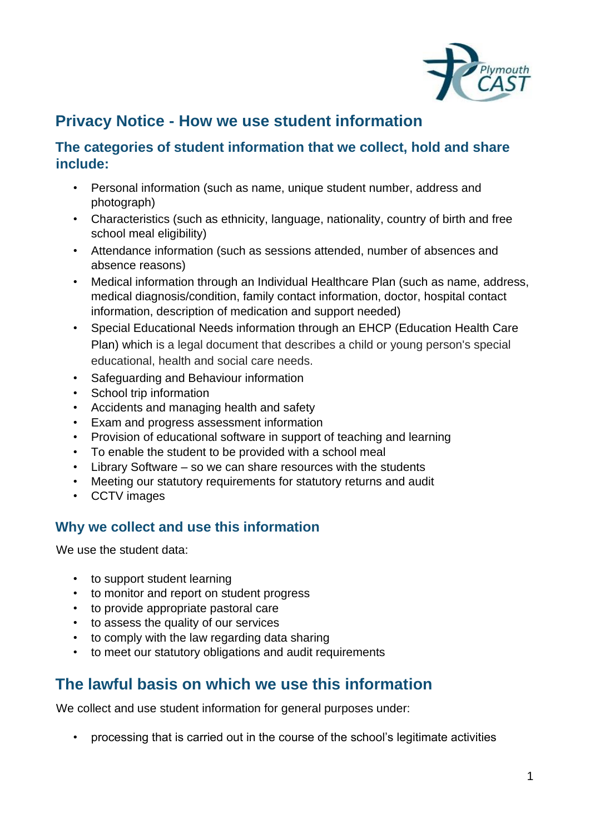

## **Privacy Notice - How we use student information**

#### **The categories of student information that we collect, hold and share include:**

- Personal information (such as name, unique student number, address and photograph)
- Characteristics (such as ethnicity, language, nationality, country of birth and free school meal eligibility)
- Attendance information (such as sessions attended, number of absences and absence reasons)
- Medical information through an Individual Healthcare Plan (such as name, address, medical diagnosis/condition, family contact information, doctor, hospital contact information, description of medication and support needed)
- Special Educational Needs information through an EHCP (Education Health Care Plan) which is a legal document that describes a child or young person's special educational, health and social care needs.
- Safeguarding and Behaviour information
- School trip information
- Accidents and managing health and safety
- Exam and progress assessment information
- Provision of educational software in support of teaching and learning
- To enable the student to be provided with a school meal
- Library Software so we can share resources with the students
- Meeting our statutory requirements for statutory returns and audit
- CCTV images

### **Why we collect and use this information**

We use the student data:

- to support student learning
- to monitor and report on student progress
- to provide appropriate pastoral care
- to assess the quality of our services
- to comply with the law regarding data sharing
- to meet our statutory obligations and audit requirements

# **The lawful basis on which we use this information**

We collect and use student information for general purposes under:

• processing that is carried out in the course of the school's legitimate activities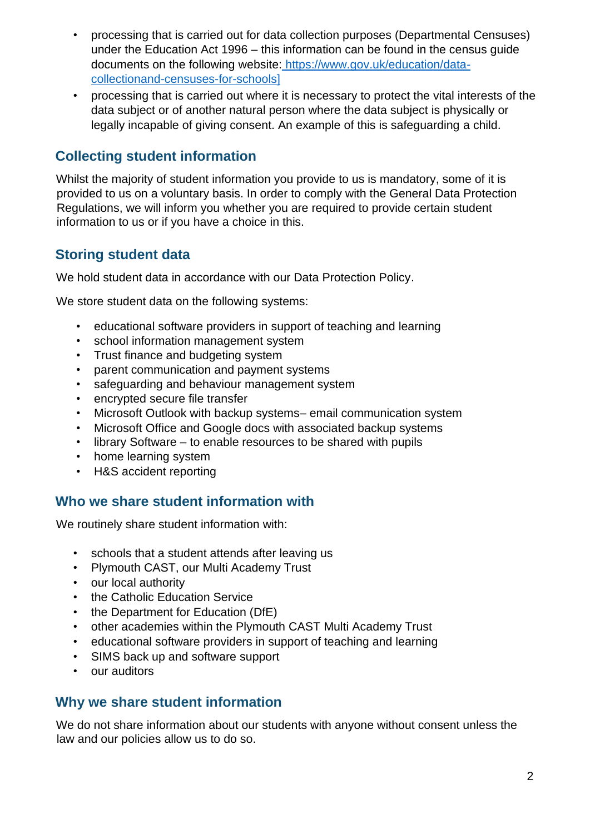- processing that is carried out for data collection purposes (Departmental Censuses) under the Education Act 1996 – this information can be found in the census guide documents on the following website[:](https://www.gov.uk/education/data-collection-and-censuses-for-schools) [https://www.gov.uk/education/data](https://www.gov.uk/education/data-collection-and-censuses-for-schools)[collectionand-censuses-for-schools\]](https://www.gov.uk/education/data-collection-and-censuses-for-schools)
- processing that is carried out where it is necessary to protect the vital interests of the data subject or of another natural person where the data subject is physically or legally incapable of giving consent. An example of this is safeguarding a child.

### **Collecting student information**

Whilst the majority of student information you provide to us is mandatory, some of it is provided to us on a voluntary basis. In order to comply with the General Data Protection Regulations, we will inform you whether you are required to provide certain student information to us or if you have a choice in this.

### **Storing student data**

We hold student data in accordance with our Data Protection Policy.

We store student data on the following systems:

- educational software providers in support of teaching and learning
- school information management system
- Trust finance and budgeting system
- parent communication and payment systems
- safeguarding and behaviour management system
- encrypted secure file transfer
- Microsoft Outlook with backup systems– email communication system
- Microsoft Office and Google docs with associated backup systems
- library Software to enable resources to be shared with pupils
- home learning system
- H&S accident reporting

#### **Who we share student information with**

We routinely share student information with:

- schools that a student attends after leaving us
- Plymouth CAST, our Multi Academy Trust
- our local authority
- the Catholic Education Service
- the Department for Education (DfE)
- other academies within the Plymouth CAST Multi Academy Trust
- educational software providers in support of teaching and learning
- SIMS back up and software support
- our auditors

#### **Why we share student information**

We do not share information about our students with anyone without consent unless the law and our policies allow us to do so.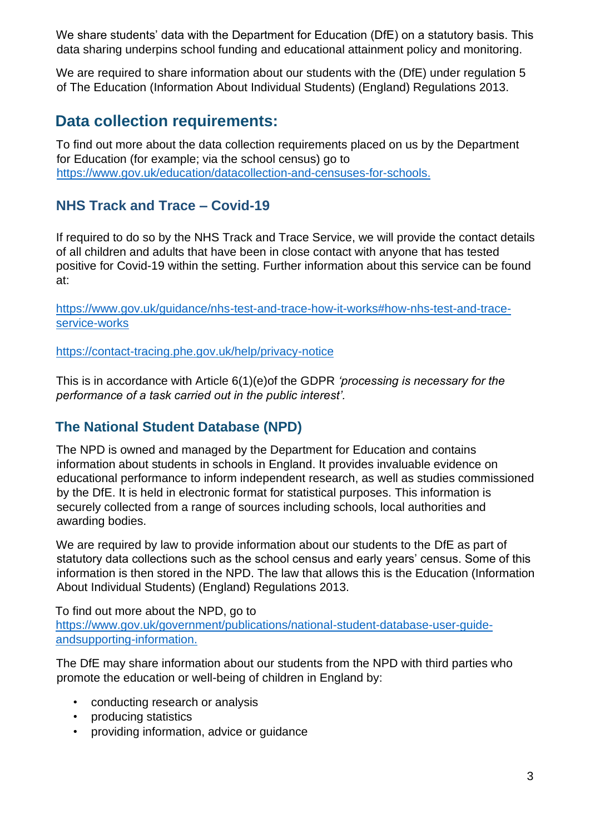We share students' data with the Department for Education (DfE) on a statutory basis. This data sharing underpins school funding and educational attainment policy and monitoring.

We are required to share information about our students with the (DfE) under regulation 5 of The Education (Information About Individual Students) (England) Regulations 2013.

# **Data collection requirements:**

To find out more about the data collection requirements placed on us by the Department for Education (for example; via the school census) go to [https://www.gov.uk/education/datacollection-and-censuses-for-schools.](https://www.gov.uk/education/data-collection-and-censuses-for-schools)

### **NHS Track and Trace – Covid-19**

If required to do so by the NHS Track and Trace Service, we will provide the contact details of all children and adults that have been in close contact with anyone that has tested positive for Covid-19 within the setting. Further information about this service can be found at:

[https://www.gov.uk/guidance/nhs-test-and-trace-how-it-works#how-nhs-test-and-trace](https://www.gov.uk/guidance/nhs-test-and-trace-how-it-works#how-nhs-test-and-trace-service-works)[service-works](https://www.gov.uk/guidance/nhs-test-and-trace-how-it-works#how-nhs-test-and-trace-service-works)

<https://contact-tracing.phe.gov.uk/help/privacy-notice>

This is in accordance with Article 6(1)(e)of the GDPR *'processing is necessary for the performance of a task carried out in the public interest'.*

### **The National Student Database (NPD)**

The NPD is owned and managed by the Department for Education and contains information about students in schools in England. It provides invaluable evidence on educational performance to inform independent research, as well as studies commissioned by the DfE. It is held in electronic format for statistical purposes. This information is securely collected from a range of sources including schools, local authorities and awarding bodies.

We are required by law to provide information about our students to the DfE as part of statutory data collections such as the school census and early years' census. Some of this information is then stored in the NPD. The law that allows this is the Education (Information About Individual Students) (England) Regulations 2013.

To find out more about the NPD, go to [https://www.gov.uk/government/publications/national-student-database-user-guide](https://www.gov.uk/government/publications/national-pupil-database-user-guide-and-supporting-information)[andsupporting-information.](https://www.gov.uk/government/publications/national-pupil-database-user-guide-and-supporting-information)

The DfE may share information about our students from the NPD with third parties who promote the education or well-being of children in England by:

- conducting research or analysis
- producing statistics
- providing information, advice or guidance